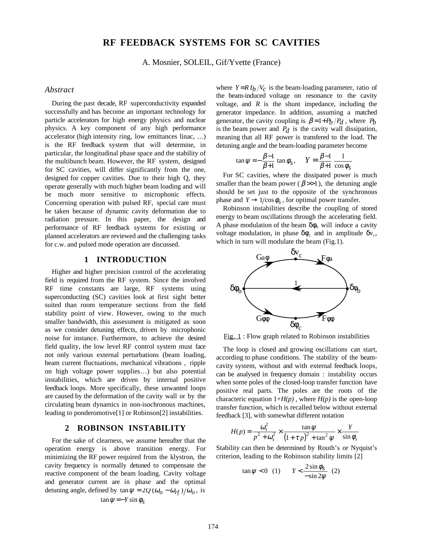# **RF FEEDBACK SYSTEMS FOR SC CAVITIES**

A. Mosnier, SOLEIL, Gif/Yvette (France)

### *Abstract*

During the past decade, RF superconductivity expanded successfully and has become an important technology for particle accelerators for high energy physics and nuclear physics. A key component of any high performance accelerator (high intensity ring, low emittances linac, ...) is the RF feedback system that will determine, in particular, the longitudinal phase space and the stability of the multibunch beam. However, the RF system, designed for SC cavities, will differ significantly from the one, designed for copper cavities. Due to their high Q, they operate generally with much higher beam loading and will be much more sensitive to microphonic effects. Concerning operation with pulsed RF, special care must be taken because of dynamic cavity deformation due to radiation pressure. In this paper, the design and performance of RF feedback systems for existing or planned accelerators are reviewed and the challenging tasks for c.w. and pulsed mode operation are discussed.

# **1 INTRODUCTION**

Higher and higher precision control of the accelerating field is required from the RF system. Since the involved RF time constants are large, RF systems using superconducting (SC) cavities look at first sight better suited than room temperature sections from the field stability point of view. However, owing to the much smaller bandwidth, this assessment is mitigated as soon as we consider detuning effects, driven by microphonic noise for instance. Furthermore, to achieve the desired field quality, the low level RF control system must face not only various external perturbations (beam loading, beam current fluctuations, mechanical vibrations , ripple on high voltage power supplies…) but also potential instabilities, which are driven by internal positive feedback loops. More specifically, these unwanted loops are caused by the deformation of the cavity wall or by the circulating beam dynamics in non-isochronous machines, leading to ponderomotive[1] or Robinson[2] instabilities.

### **2 ROBINSON INSTABILITY**

 For the sake of clearness, we assume hereafter that the operation energy is above transition energy. For minimizing the RF power required from the klystron, the cavity frequency is normally detuned to compensate the reactive component of the beam loading. Cavity voltage and generator current are in phase and the optimal detuning angle, defined by  $\tan \psi = 2Q (\omega_0 - \omega_{rf})/\omega_0$ , is  $\tan \psi = -Y \sin \phi_s$ 

where  $Y = R I_b / V_c$  is the beam-loading parameter, ratio of the beam-induced voltage on resonance to the cavity voltage, and  $\overline{R}$  is the shunt impedance, including the generator impedance. In addition, assuming a matched generator, the cavity coupling is  $\beta = 1 + P_b / P_d$ , where  $P_b$ is the beam power and  $P_d$  is the cavity wall dissipation, meaning that all RF power is transfered to the load. The detuning angle and the beam-loading parameter become

$$
\tan \psi = -\frac{\beta - 1}{\beta + 1} \tan \phi_s, \quad Y = \frac{\beta - 1}{\beta + 1} \frac{1}{\cos \phi_s}
$$

For SC cavities, where the dissipated power is much smaller than the beam power ( $\beta \gg 1$ ), the detuning angle should be set just to the opposite of the synchronous phase and  $Y \rightarrow 1/\cos \phi_s$ , for optimal power transfer.

Robinson instabilities describe the coupling of stored energy to beam oscillations through the accelerating field. A phase modulation of the beam  $\delta\phi_b$  will induce a cavity voltage modulation, in phase  $\delta \phi_c$  and in amplitude  $\delta v_c$ , which in turn will modulate the beam (Fig.1).



Fig. 1 : Flow graph related to Robinson instabilities

The loop is closed and growing oscillations can start, according to phase conditions. The stability of the beamcavity system, without and with external feedback loops, can be analysed in frequency domain : instability occurs when some poles of the closed-loop transfer function have positive real parts. The poles are the roots of the characteric equation  $1+H(p)$ , where  $H(p)$  is the open-loop transfer function, which is recalled below without external feedback [3], with somewhat different notation

$$
H(p) = \frac{\omega_s^2}{p^2 + \omega_s^2} \times \frac{\tan \psi}{\left(1 + \tau p\right)^2 + \tan^2 \psi} \times \frac{Y}{\sin \phi_s}
$$

Stability can then be determined by Routh's or Nyquist's criterion, leading to the Robinson stability limits [2]

$$
\tan \psi < 0 \quad (1) \qquad Y < \frac{2\sin\phi_s}{-\sin 2\psi} \quad (2)
$$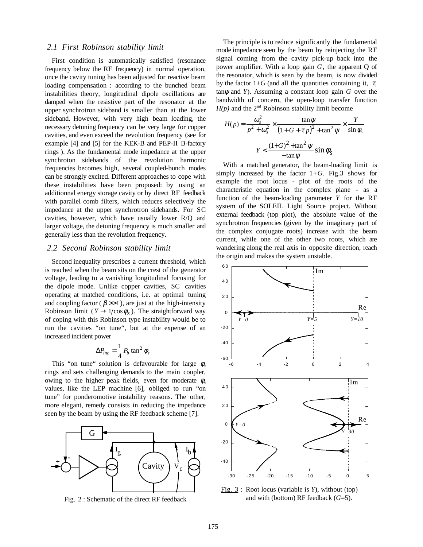### *2.1 First Robinson stability limit*

 First condition is automatically satisfied (resonance frequency below the RF frequency) in normal operation, once the cavity tuning has been adjusted for reactive beam loading compensation : according to the bunched beam instabilities theory, longitudinal dipole oscillations are damped when the resistive part of the resonator at the upper synchrotron sideband is smaller than at the lower sideband. However, with very high beam loading, the necessary detuning frequency can be very large for copper cavities, and even exceed the revolution frequency (see for example [4] and [5] for the KEK-B and PEP-II B-factory rings ). As the fundamental mode impedance at the upper synchroton sidebands of the revolution harmonic frequencies becomes high, several coupled-bunch modes can be strongly excited. Different approaches to cope with these instabilities have been proposed: by using an additionnal energy storage cavity or by direct RF feedback with parallel comb filters, which reduces selectively the impedance at the upper synchrotron sidebands. For SC cavities, however, which have usually lower R/Q and larger voltage, the detuning frequency is much smaller and generally less than the revolution frequency.

### *2.2 Second Robinson stability limit*

Second inequality prescribes a current threshold, which is reached when the beam sits on the crest of the generator voltage, leading to a vanishing longitudinal focusing for the dipole mode. Unlike copper cavities, SC cavities operating at matched conditions, i.e. at optimal tuning and coupling factor ( $\beta \gg 1$ ), are just at the high-intensity Robinson limit ( $Y \rightarrow 1/\cos \phi_s$ ). The straightforward way of coping with this Robinson type instability would be to run the cavities "on tune", but at the expense of an increased incident power

$$
\Delta P_{inc} = \frac{1}{4} P_b \tan^2 \phi_s
$$

This "on tune" solution is defavourable for large  $\phi_s$ rings and sets challenging demands to the main coupler, owing to the higher peak fields, even for moderate  $\phi$ <sub>s</sub> values, like the LEP machine [6], obliged to run "on tune" for ponderomotive instability reasons. The other, more elegant, remedy consists in reducing the impedance seen by the beam by using the RF feedback scheme [7].



Fig. 2 : Schematic of the direct RF feedback

The principle is to reduce significantly the fundamental mode impedance seen by the beam by reinjecting the RF signal coming from the cavity pick-up back into the power amplifier. With a loop gain *G*, the apparent Q of the resonator, which is seen by the beam, is now divided by the factor  $1+G$  (and all the quantities containing it,  $\tau$ ,  $tan \psi$  and *Y*). Assuming a constant loop gain *G* over the bandwidth of concern, the open-loop transfer function  $H(p)$  and the  $2<sup>nd</sup>$  Robinson stability limit become

$$
H(p) = \frac{\omega_s^2}{p^2 + \omega_s^2} \times \frac{\tan \psi}{\left(1 + G + \tau p\right)^2 + \tan^2 \psi} \times \frac{Y}{\sin \phi_s}
$$

$$
Y < \frac{\left(1 + G\right)^2 + \tan^2 \psi}{-\tan \psi} \sin \phi_s
$$

 With a matched generator, the beam-loading limit is simply increased by the factor  $1+G$ . Fig. 3 shows for example the root locus - plot of the roots of the characteristic equation in the complex plane - as a function of the beam-loading parameter *Y* for the RF system of the SOLEIL Light Source project. Without external feedback (top plot), the absolute value of the synchrotron frequencies (given by the imaginary part of the complex conjugate roots) increase with the beam current, while one of the other two roots, which are wandering along the real axis in opposite direction, reach the origin and makes the system unstable.



 Fig. 3 : Root locus (variable is *Y*), without (top) and with (bottom) RF feedback (*G*=5).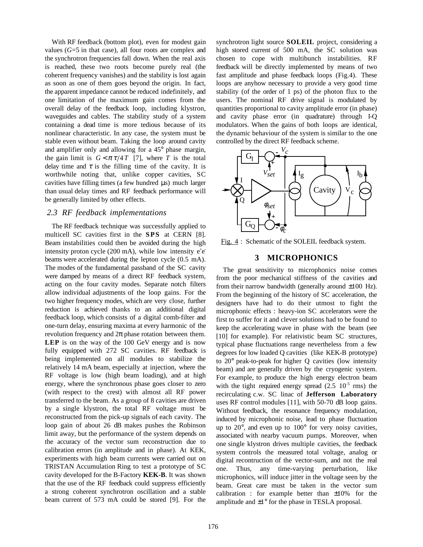With RF feedback (bottom plot), even for modest gain values (*G*=5 in that case), all four roots are complex and the synchrotron frequencies fall down. When the real axis is reached, these two roots become purely real (the coherent frequency vanishes) and the stability is lost again as soon as one of them goes beyond the origin. In fact, the apparent impedance cannot be reduced indefinitely, and one limitation of the maximum gain comes from the overall delay of the feedback loop, including klystron, waveguides and cables. The stability study of a system containing a dead time is more tedious because of its nonlinear characteristic. In any case, the system must be stable even without beam. Taking the loop around cavity and amplifier only and allowing for a 45° phase margin, the gain limit is  $G < \pi \tau/4T$  [7], where *T* is the total delay time and  $\tau$  is the filling time of the cavity. It is worthwhile noting that, unlike copper cavities, SC cavities have filling times (a few hundred  $\mu$ s) much larger than usual delay times and RF feedback performance will be generally limited by other effects.

#### *2.3 RF feedback implementations*

The RF feedback technique was successfully applied to multicell SC cavities first in the **SPS** at CERN [8]. Beam instabilities could then be avoided during the high intensity proton cycle  $(200 \text{ mA})$ , while low intensity  $e^+e^$ beams were accelerated during the lepton cycle (0.5 mA). The modes of the fundamental passband of the SC cavity were damped by means of a direct RF feedback system, acting on the four cavity modes. Separate notch filters allow individual adjustments of the loop gains. For the two higher frequency modes, which are very close, further reduction is achieved thanks to an additional digital feedback loop, which consists of a digital comb-filter and one-turn delay, ensuring maxima at every harmonic of the revolution frequency and  $2\pi$  phase rotation between them. **LEP** is on the way of the 100 GeV energy and is now fully equipped with 272 SC cavities. RF feedback is being implemented on all modules to stabilize the relatively 14 mA beam, especially at injection, where the RF voltage is low (high beam loading), and at high energy, where the synchronous phase goes closer to zero (with respect to the crest) with almost all RF power transferred to the beam. As a group of 8 cavities are driven by a single klystron, the total RF voltage must be reconstructed from the pick-up signals of each cavity. The loop gain of about 26 dB makes pushes the Robinson limit away, but the performance of the system depends on the accuracy of the vector sum reconstruction due to calibration errors (in amplitude and in phase). At KEK, experiments with high beam currents were carried out on TRISTAN Accumulation Ring to test a prototype of SC cavity developed for the B-Factory **KEK-B**. It was shown that the use of the RF feedback could suppress efficiently a strong coherent synchrotron oscillation and a stable beam current of 573 mA could be stored [9]. For the synchrotron light source **SOLEIL** project, considering a high stored current of 500 mA, the SC solution was chosen to cope with multibunch instabilities. RF feedback will be directly implemented by means of two fast amplitude and phase feedback loops (Fig.4). These loops are anyhow necessary to provide a very good time stability (of the order of 1 ps) of the photon flux to the users. The nominal RF drive signal is modulated by quantities proportional to cavity amplitude error (in phase) and cavity phase error (in quadrature) through I-Q modulators. When the gains of both loops are identical, the dynamic behaviour of the system is similar to the one controlled by the direct RF feedback scheme.



Fig. 4: Schematic of the SOLEIL feedback system.

# **3 MICROPHONICS**

The great sensitivity to microphonics noise comes from the poor mechanical stiffness of the cavities and from their narrow bandwidth (generally around  $\pm 100$  Hz). From the beginning of the history of SC acceleration, the designers have had to do their utmost to fight the microphonic effects : heavy-ion SC accelerators were the first to suffer for it and clever solutions had to be found to keep the accelerating wave in phase with the beam (see [10] for example). For relativistic beam SC structures, typical phase fluctuations range nevertheless from a few degrees for low loaded Q cavities (like KEK-B prototype) to 20° peak-to-peak for higher Q cavities (low intensity beam) and are generally driven by the cryogenic system. For example, to produce the high energy electron beam with the tight required energy spread  $(2.5 \t10^{-5} \t{rms})$  the recirculating c.w. SC linac of **Jefferson Laboratory** uses RF control modules [11], with 50-70 dB loop gains. Without feedback, the resonance frequency modulation, induced by microphonic noise, lead to phase fluctuation up to 20°, and even up to 100° for very noisy cavities, associated with nearby vacuum pumps. Moreover, when one single klystron drives multiple cavities, the feedback system controls the measured total voltage, analog or digital recontruction of the vector-sum, and not the real one. Thus, any time-varying perturbation, like microphonics, will induce jitter in the voltage seen by the beam. Great care must be taken in the vector sum calibration : for example better than  $\pm 10\%$  for the amplitude and  $\pm 1^{\circ}$  for the phase in TESLA proposal.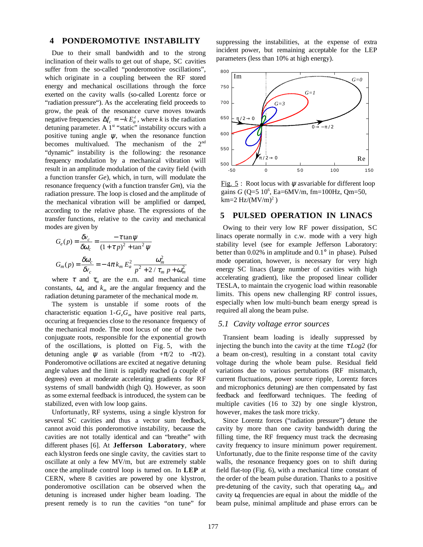### **4 PONDEROMOTIVE INSTABILITY**

Due to their small bandwidth and to the strong inclination of their walls to get out of shape, SC cavities suffer from the so-called "ponderomotive oscillations", which originate in a coupling between the RF stored energy and mechanical oscillations through the force exerted on the cavity walls (so-called Lorentz force or "radiation pressure"). As the accelerating field proceeds to grow, the peak of the resonance curve moves towards negative frequencies  $\Delta f_c = -k E_a^2$ , where *k* is the radiation detuning parameter. A  $1<sup>st</sup>$  "static" instability occurs with a positive tuning angle  $\psi$ , when the resonance function becomes multivalued. The mechanism of the 2<sup>nd</sup> "dynamic" instability is the following: the resonance frequency modulation by a mechanical vibration will result in an amplitude modulation of the cavity field (with a function transfer *Ge*), which, in turn, will modulate the resonance frequency (with a function transfer *Gm*), via the radiation pressure. The loop is closed and the amplitude of the mechanical vibration will be amplified or damped, according to the relative phase. The expressions of the transfer functions, relative to the cavity and mechanical modes are given by

$$
G_e(p) = \frac{\delta v_c}{\delta \omega_c} = \frac{-\tau \tan \psi}{(1 + \tau p)^2 + \tan^2 \psi}
$$
  

$$
G_m(p) = \frac{\delta \omega_c}{\delta v_c} = -4\pi k_m E_a^2 \frac{\omega_m^2}{p^2 + 2/\tau_m p + \omega_m^2}
$$

where  $\tau$  and  $\tau_m$  are the e.m. and mechanical time constants,  $\omega_m$  and  $k_m$  are the angular frequency and the radiation detuning parameter of the mechanical mode *m*.

The system is unstable if some roots of the characteristic equation  $1-G_eG_m$  have positive real parts, occuring at frequencies close to the resonance frequency of the mechanical mode. The root locus of one of the two conjuguate roots, responsible for the exponential growth of the oscillations, is plotted on Fig. 5, with the detuning angle  $\psi$  as variable (from  $+\pi/2$  to  $-\pi/2$ ). Ponderomotive ocillations are excited at negative detuning angle values and the limit is rapidly reached (a couple of degrees) even at moderate accelerating gradients for RF systems of small bandwidth (high Q). However, as soon as some external feedback is introduced, the system can be stabilized, even with low loop gains.

Unfortunatly, RF systems, using a single klystron for several SC cavities and thus a vector sum feedback, cannot avoid this ponderomotive instability, because the cavities are not totally identical and can "breathe" with different phases [6]. At **Jefferson Laboratory**, where each klystron feeds one single cavity, the cavities start to oscillate at only a few MV/m, but are extremely stable once the amplitude control loop is turned on. In **LEP** at CERN, where 8 cavities are powered by one klystron, ponderomotive oscillation can be observed when the detuning is increased under higher beam loading. The present remedy is to run the cavities "on tune" for suppressing the instabilities, at the expense of extra incident power, but remaining acceptable for the LEP parameters (less than 10% at high energy).



Fig. 5: Root locus with  $\psi$  asvariable for different loop gains *G* (Q=5 10<sup>6</sup>, Ea=6MV/m, fm=100Hz, Qm=50,  $km=2 Hz/(MV/m)^2)$ 

### **5 PULSED OPERATION IN LINACS**

Owing to their very low RF power dissipation, SC linacs operate normally in c.w. mode with a very high stability level (see for example Jefferson Laboratory: better than 0.02% in amplitude and 0.1° in phase). Pulsed mode operation, however, is necessary for very high energy SC linacs (large number of cavities with high accelerating gradient), like the proposed linear collider TESLA, to maintain the cryogenic load within reasonable limits. This opens new challenging RF control issues, especially when low multi-bunch beam energy spread is required all along the beam pulse.

### *5.1 Cavity voltage error sources*

Transient beam loading is ideally suppressed by injecting the bunch into the cavity at the time  $\tau Log2$  (for a beam on-crest), resulting in a constant total cavity voltage during the whole beam pulse. Residual field variations due to various pertubations (RF mismatch, current fluctuations, power source ripple, Lorentz forces and microphonics detuning) are then compensated by fast feedback and feedforward techniques. The feeding of multiple cavities (16 to 32) by one single klystron, however, makes the task more tricky.

Since Lorentz forces ("radiation pressure") detune the cavity by more than one cavity bandwidth during the filling time, the RF frequency must track the decreasing cavity frequency to insure minimum power requirement. Unfortunatly, due to the finite response time of the cavity walls, the resonance frequency goes on to shift during field flat-top (Fig. 6), with a mechanical time constant of the order of the beam pulse duration. Thanks to a positive pre-detuning of the cavity, such that operating  $\omega_{RF}$  and cavity  $\omega_c$  frequencies are equal in about the middle of the beam pulse, minimal amplitude and phase errors can be